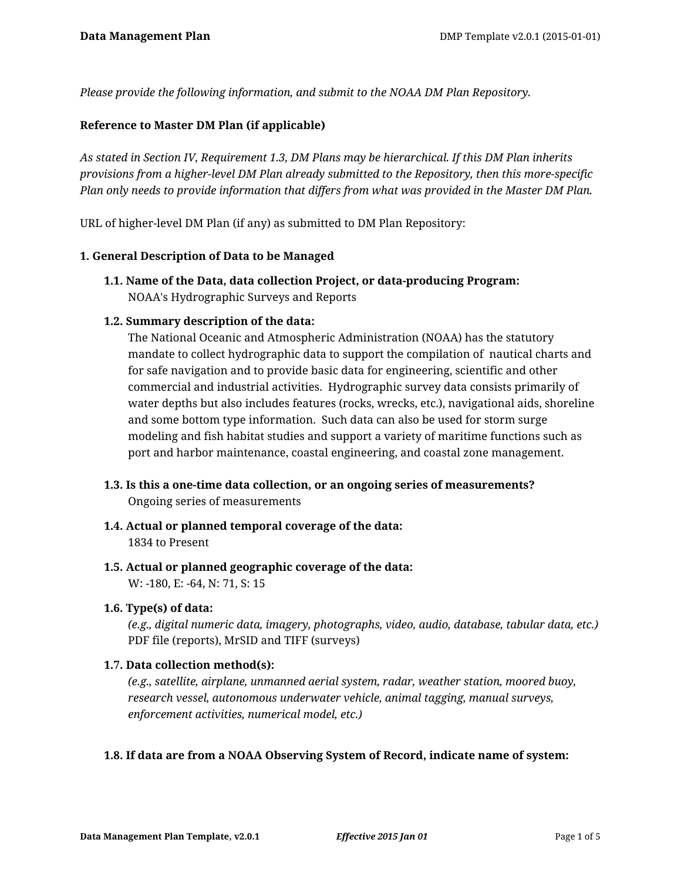*Please provide the following information, and submit to the NOAA DM Plan Repository.*

#### **Reference to Master DM Plan (if applicable)**

*As stated in Section IV, Requirement 1.3, DM Plans may be hierarchical. If this DM Plan inherits provisions from a higher-level DM Plan already submitted to the Repository, then this more-specific Plan only needs to provide information that differs from what was provided in the Master DM Plan.*

URL of higher-level DM Plan (if any) as submitted to DM Plan Repository:

#### **1. General Description of Data to be Managed**

**1.1. Name of the Data, data collection Project, or data-producing Program:** NOAA's Hydrographic Surveys and Reports

#### **1.2. Summary description of the data:**

The National Oceanic and Atmospheric Administration (NOAA) has the statutory mandate to collect hydrographic data to support the compilation of nautical charts and for safe navigation and to provide basic data for engineering, scientific and other commercial and industrial activities. Hydrographic survey data consists primarily of water depths but also includes features (rocks, wrecks, etc.), navigational aids, shoreline and some bottom type information. Such data can also be used for storm surge modeling and fish habitat studies and support a variety of maritime functions such as port and harbor maintenance, coastal engineering, and coastal zone management.

- **1.3. Is this a one-time data collection, or an ongoing series of measurements?** Ongoing series of measurements
- **1.4. Actual or planned temporal coverage of the data:** 1834 to Present
- **1.5. Actual or planned geographic coverage of the data:** W: -180, E: -64, N: 71, S: 15

#### **1.6. Type(s) of data:**

*(e.g., digital numeric data, imagery, photographs, video, audio, database, tabular data, etc.)* PDF file (reports), MrSID and TIFF (surveys)

#### **1.7. Data collection method(s):**

*(e.g., satellite, airplane, unmanned aerial system, radar, weather station, moored buoy, research vessel, autonomous underwater vehicle, animal tagging, manual surveys, enforcement activities, numerical model, etc.)*

#### **1.8. If data are from a NOAA Observing System of Record, indicate name of system:**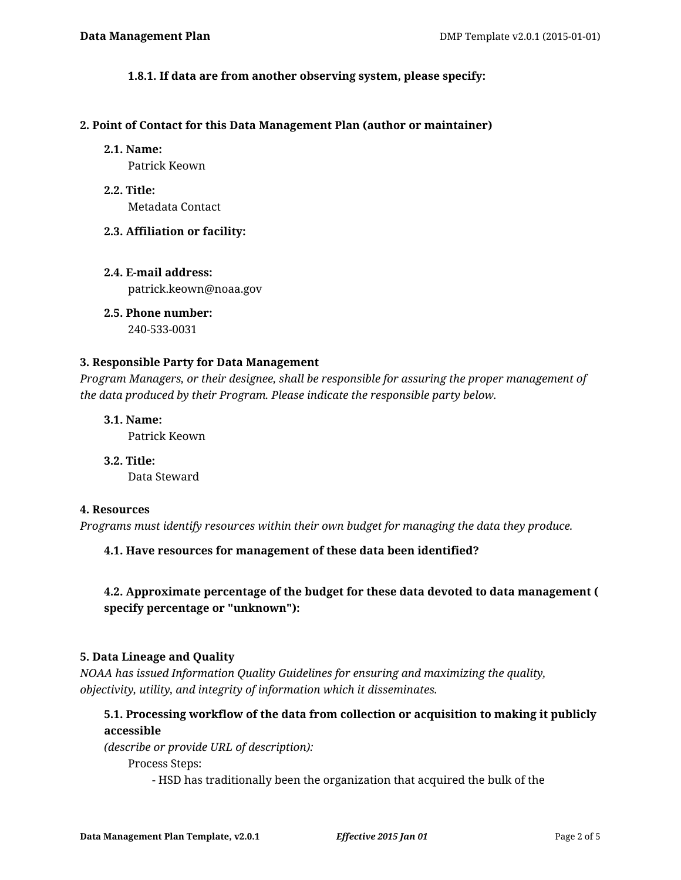#### **1.8.1. If data are from another observing system, please specify:**

#### **2. Point of Contact for this Data Management Plan (author or maintainer)**

#### **2.1. Name:**

Patrick Keown

**2.2. Title:** Metadata Contact

#### **2.3. Affiliation or facility:**

**2.4. E-mail address:** patrick.keown@noaa.gov

**2.5. Phone number:** 240-533-0031

#### **3. Responsible Party for Data Management**

*Program Managers, or their designee, shall be responsible for assuring the proper management of the data produced by their Program. Please indicate the responsible party below.*

**3.1. Name:**

Patrick Keown

**3.2. Title:** Data Steward

#### **4. Resources**

*Programs must identify resources within their own budget for managing the data they produce.*

**4.1. Have resources for management of these data been identified?**

# **4.2. Approximate percentage of the budget for these data devoted to data management ( specify percentage or "unknown"):**

#### **5. Data Lineage and Quality**

*NOAA has issued Information Quality Guidelines for ensuring and maximizing the quality, objectivity, utility, and integrity of information which it disseminates.*

# **5.1. Processing workflow of the data from collection or acquisition to making it publicly accessible**

*(describe or provide URL of description):*

Process Steps:

- HSD has traditionally been the organization that acquired the bulk of the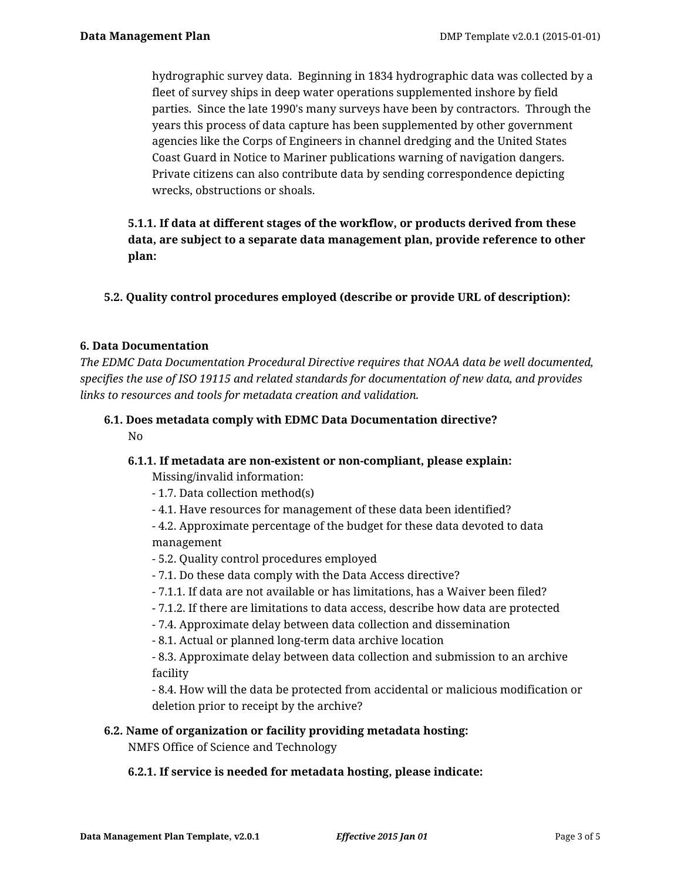hydrographic survey data. Beginning in 1834 hydrographic data was collected by a fleet of survey ships in deep water operations supplemented inshore by field parties. Since the late 1990's many surveys have been by contractors. Through the years this process of data capture has been supplemented by other government agencies like the Corps of Engineers in channel dredging and the United States Coast Guard in Notice to Mariner publications warning of navigation dangers. Private citizens can also contribute data by sending correspondence depicting wrecks, obstructions or shoals.

# **5.1.1. If data at different stages of the workflow, or products derived from these data, are subject to a separate data management plan, provide reference to other plan:**

**5.2. Quality control procedures employed (describe or provide URL of description):**

## **6. Data Documentation**

*The EDMC Data Documentation Procedural Directive requires that NOAA data be well documented, specifies the use of ISO 19115 and related standards for documentation of new data, and provides links to resources and tools for metadata creation and validation.*

# **6.1. Does metadata comply with EDMC Data Documentation directive?**

No

# **6.1.1. If metadata are non-existent or non-compliant, please explain:**

Missing/invalid information:

- 1.7. Data collection method(s)
- 4.1. Have resources for management of these data been identified?
- 4.2. Approximate percentage of the budget for these data devoted to data management
- 5.2. Quality control procedures employed
- 7.1. Do these data comply with the Data Access directive?
- 7.1.1. If data are not available or has limitations, has a Waiver been filed?
- 7.1.2. If there are limitations to data access, describe how data are protected
- 7.4. Approximate delay between data collection and dissemination
- 8.1. Actual or planned long-term data archive location

- 8.3. Approximate delay between data collection and submission to an archive facility

- 8.4. How will the data be protected from accidental or malicious modification or deletion prior to receipt by the archive?

# **6.2. Name of organization or facility providing metadata hosting:**

NMFS Office of Science and Technology

## **6.2.1. If service is needed for metadata hosting, please indicate:**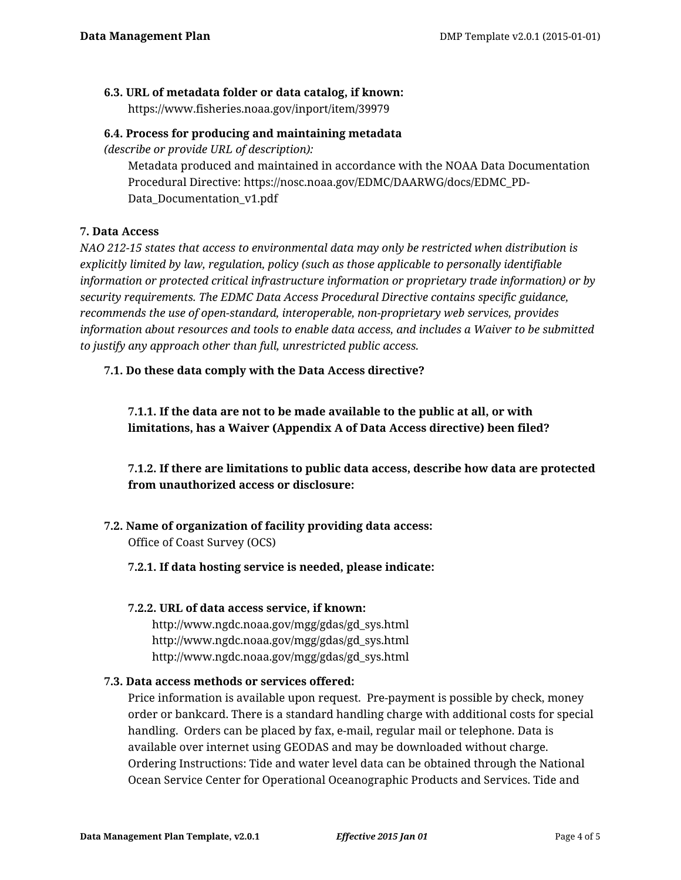# **6.3. URL of metadata folder or data catalog, if known:**

https://www.fisheries.noaa.gov/inport/item/39979

## **6.4. Process for producing and maintaining metadata**

*(describe or provide URL of description):*

Metadata produced and maintained in accordance with the NOAA Data Documentation Procedural Directive: https://nosc.noaa.gov/EDMC/DAARWG/docs/EDMC\_PD-Data\_Documentation\_v1.pdf

# **7. Data Access**

*NAO 212-15 states that access to environmental data may only be restricted when distribution is explicitly limited by law, regulation, policy (such as those applicable to personally identifiable information or protected critical infrastructure information or proprietary trade information) or by security requirements. The EDMC Data Access Procedural Directive contains specific guidance, recommends the use of open-standard, interoperable, non-proprietary web services, provides information about resources and tools to enable data access, and includes a Waiver to be submitted to justify any approach other than full, unrestricted public access.*

## **7.1. Do these data comply with the Data Access directive?**

**7.1.1. If the data are not to be made available to the public at all, or with limitations, has a Waiver (Appendix A of Data Access directive) been filed?**

**7.1.2. If there are limitations to public data access, describe how data are protected from unauthorized access or disclosure:**

#### **7.2. Name of organization of facility providing data access:** Office of Coast Survey (OCS)

**7.2.1. If data hosting service is needed, please indicate:**

## **7.2.2. URL of data access service, if known:**

http://www.ngdc.noaa.gov/mgg/gdas/gd\_sys.html http://www.ngdc.noaa.gov/mgg/gdas/gd\_sys.html http://www.ngdc.noaa.gov/mgg/gdas/gd\_sys.html

## **7.3. Data access methods or services offered:**

Price information is available upon request. Pre-payment is possible by check, money order or bankcard. There is a standard handling charge with additional costs for special handling. Orders can be placed by fax, e-mail, regular mail or telephone. Data is available over internet using GEODAS and may be downloaded without charge. Ordering Instructions: Tide and water level data can be obtained through the National Ocean Service Center for Operational Oceanographic Products and Services. Tide and